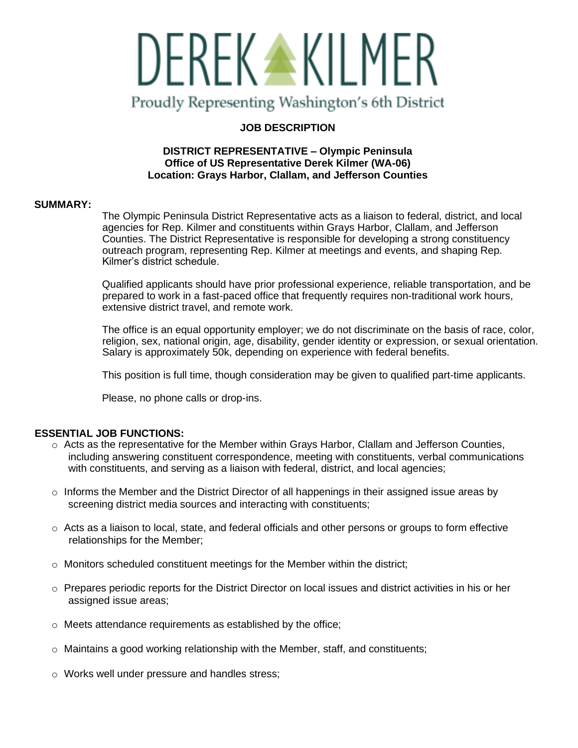

# **JOB DESCRIPTION**

# **DISTRICT REPRESENTATIVE – Olympic Peninsula Office of US Representative Derek Kilmer (WA-06) Location: Grays Harbor, Clallam, and Jefferson Counties**

## **SUMMARY:**

The Olympic Peninsula District Representative acts as a liaison to federal, district, and local agencies for Rep. Kilmer and constituents within Grays Harbor, Clallam, and Jefferson Counties. The District Representative is responsible for developing a strong constituency outreach program, representing Rep. Kilmer at meetings and events, and shaping Rep. Kilmer's district schedule.

Qualified applicants should have prior professional experience, reliable transportation, and be prepared to work in a fast-paced office that frequently requires non-traditional work hours, extensive district travel, and remote work.

The office is an equal opportunity employer; we do not discriminate on the basis of race, color, religion, sex, national origin, age, disability, gender identity or expression, or sexual orientation. Salary is approximately 50k, depending on experience with federal benefits.

This position is full time, though consideration may be given to qualified part-time applicants.

Please, no phone calls or drop-ins.

# **ESSENTIAL JOB FUNCTIONS:**

- $\circ$  Acts as the representative for the Member within Grays Harbor, Clallam and Jefferson Counties, including answering constituent correspondence, meeting with constituents, verbal communications with constituents, and serving as a liaison with federal, district, and local agencies;
- $\circ$  Informs the Member and the District Director of all happenings in their assigned issue areas by screening district media sources and interacting with constituents;
- $\circ$  Acts as a liaison to local, state, and federal officials and other persons or groups to form effective relationships for the Member;
- $\circ$  Monitors scheduled constituent meetings for the Member within the district;
- $\circ$  Prepares periodic reports for the District Director on local issues and district activities in his or her assigned issue areas;
- o Meets attendance requirements as established by the office;
- o Maintains a good working relationship with the Member, staff, and constituents;
- o Works well under pressure and handles stress;